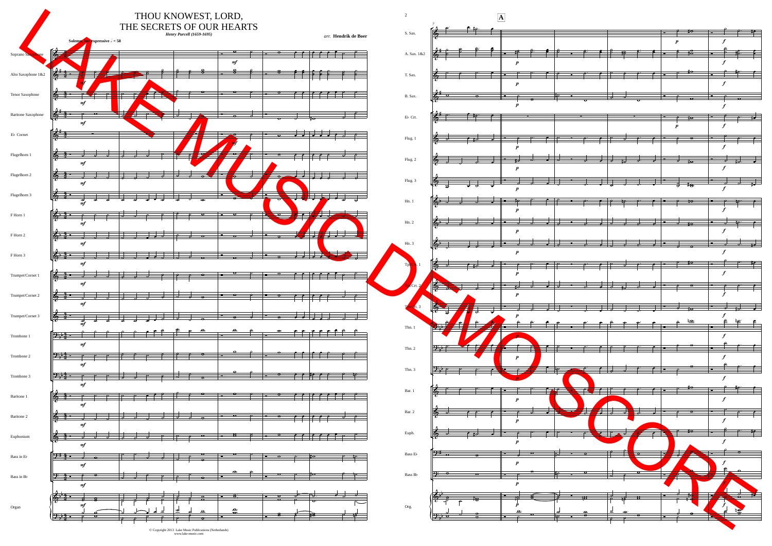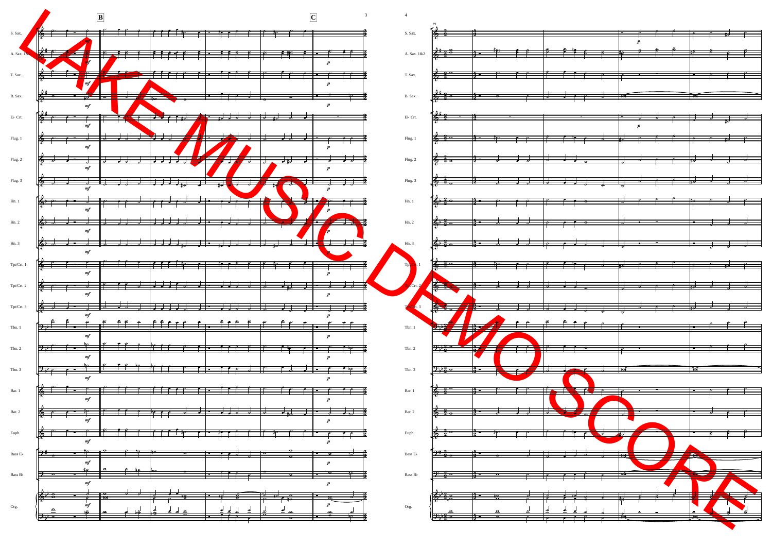